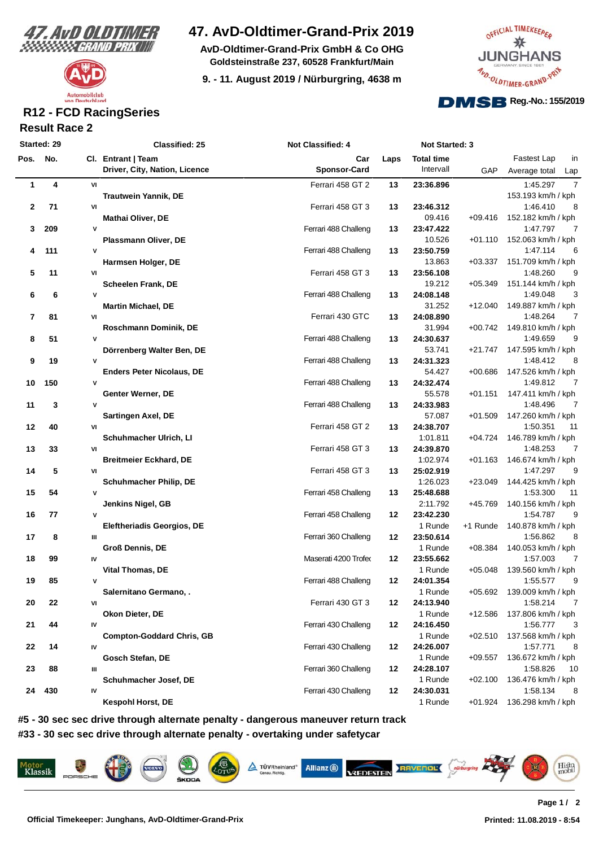



## **47. AvD-Oldtimer-Grand-Prix 2019**

**AvD-Oldtimer-Grand-Prix GmbH & Co OHG Goldsteinstraße 237, 60528 Frankfurt/Main**

**9. - 11. August 2019 / Nürburgring, 4638 m**



### **Result Race 2 R12 - FCD RacingSeries**

| Started: 29 |     |              | <b>Classified: 25</b>             | Not Classified: 4    | Not Started: 3 |                   |           |                            |
|-------------|-----|--------------|-----------------------------------|----------------------|----------------|-------------------|-----------|----------------------------|
| Pos. No.    |     |              | Cl. Entrant   Team                | Car                  | Laps           | <b>Total time</b> |           | Fastest Lap<br>in          |
|             |     |              | Driver, City, Nation, Licence     | <b>Sponsor-Card</b>  |                | Intervall         | GAP       | Average total<br>Lap       |
| 1           | 4   | VI           |                                   | Ferrari 458 GT 2     | 13             | 23:36.896         |           | 7<br>1:45.297              |
|             |     |              | <b>Trautwein Yannik, DE</b>       |                      |                |                   |           | 153.193 km/h / kph         |
| $\mathbf 2$ | 71  | VI           |                                   | Ferrari 458 GT 3     | 13             | 23:46.312         |           | 1:46.410<br>8              |
|             |     |              | <b>Mathai Oliver, DE</b>          |                      |                | 09.416            | $+09.416$ | 152.182 km/h / kph         |
| 3           | 209 | $\mathsf{v}$ |                                   | Ferrari 488 Challeng | 13             | 23:47.422         |           | 1:47.797<br>7              |
|             |     |              | Plassmann Oliver, DE              |                      |                | 10.526            | +01.110   | 152.063 km/h / kph         |
| 4           | 111 | $\mathsf{v}$ |                                   | Ferrari 488 Challeng | 13             | 23:50.759         |           | 1:47.114<br>6              |
|             |     |              | Harmsen Holger, DE                |                      |                | 13.863            | $+03.337$ | 151.709 km/h / kph         |
| 5           | 11  | VI           |                                   | Ferrari 458 GT 3     | 13             | 23:56.108         |           | 1:48.260<br>g              |
|             |     |              | Scheelen Frank, DE                |                      |                | 19.212            | $+05.349$ | 151.144 km/h / kph         |
| 6           | 6   | $\mathsf{v}$ |                                   | Ferrari 488 Challeng | 13             | 24:08.148         |           | 1:49.048<br>З              |
|             |     |              | <b>Martin Michael, DE</b>         |                      |                | 31.252            | $+12.040$ | 149.887 km/h / kph         |
| 7           | 81  | VI           |                                   | Ferrari 430 GTC      | 13             | 24:08.890         |           | 1:48.264<br>7              |
|             |     |              | Roschmann Dominik, DE             |                      |                | 31.994            | $+00.742$ | 149.810 km/h / kph         |
| 8           | 51  | $\mathsf{v}$ |                                   | Ferrari 488 Challeng | 13             | 24:30.637         |           | 1:49.659<br>g              |
|             |     |              | Dörrenberg Walter Ben, DE         |                      |                | 53.741            | $+21.747$ | 147.595 km/h / kph         |
| 9           | 19  | $\mathsf{v}$ |                                   | Ferrari 488 Challeng | 13             | 24:31.323         |           | 1:48.412<br>8              |
|             |     |              | <b>Enders Peter Nicolaus, DE</b>  |                      |                | 54.427            | $+00.686$ | 147.526 km/h / kph         |
| 10          | 150 | V            |                                   | Ferrari 488 Challeng | 13             | 24:32.474         |           | 1:49.812<br>7              |
|             |     |              | Genter Werner, DE                 |                      |                | 55.578            | $+01.151$ | 147.411 km/h / kph         |
| 11          | 3   | $\mathsf{v}$ |                                   | Ferrari 488 Challeng | 13             | 24:33.983         |           | 7<br>1:48.496              |
|             |     |              | Sartingen Axel, DE                |                      |                | 57.087            | $+01.509$ | 147.260 km/h / kph         |
| 12          | 40  | VI           |                                   | Ferrari 458 GT 2     | 13             | 24:38.707         |           | 1:50.351<br>11             |
|             |     |              | Schuhmacher Ulrich, Ll            |                      |                | 1:01.811          | +04.724   | 146.789 km/h / kph         |
| 13          | 33  | VI           |                                   | Ferrari 458 GT 3     | 13             | 24:39.870         |           | 1:48.253<br>7              |
|             |     |              |                                   |                      |                | 1:02.974          | $+01.163$ | 146.674 km/h / kph         |
| 14          | 5   | VI           | <b>Breitmeier Eckhard, DE</b>     | Ferrari 458 GT 3     | 13             | 25:02.919         |           | 1:47.297<br>g              |
|             |     |              |                                   |                      |                | 1:26.023          | $+23.049$ | 144.425 km/h / kph         |
|             |     |              | <b>Schuhmacher Philip, DE</b>     | Ferrari 458 Challeng |                |                   |           | 1:53.300<br>11             |
| 15          | 54  | V            |                                   |                      | 13             | 25:48.688         |           |                            |
|             |     |              | Jenkins Nigel, GB                 |                      |                | 2:11.792          | +45.769   | 140.156 km/h / kph         |
| 16          | 77  | $\mathsf{v}$ |                                   | Ferrari 458 Challeng | 12             | 23:42.230         |           | g<br>1:54.787              |
|             |     |              | <b>Eleftheriadis Georgios, DE</b> |                      |                | 1 Runde           | +1 Runde  | 140.878 km/h / kph         |
| 17          | 8   | Ш            |                                   | Ferrari 360 Challeng | 12             | 23:50.614         |           | 1:56.862<br>8              |
|             |     |              | <b>Groß Dennis, DE</b>            |                      |                | 1 Runde           | +08.384   | 140.053 km/h / kph         |
| 18          | 99  | IV           |                                   | Maserati 4200 Trofeo | 12             | 23:55.662         |           | 1:57.003<br>7              |
|             |     |              | <b>Vital Thomas, DE</b>           |                      |                | 1 Runde           | $+05.048$ | 139.560 km/h / kph         |
| 19          | 85  | $\mathsf{v}$ |                                   | Ferrari 488 Challeng | 12             | 24:01.354         |           | g<br>1:55.577              |
|             |     |              | Salernitano Germano, .            |                      |                | 1 Runde           |           | +05.692 139.009 km/h / kph |
| 20          | 22  | VI           |                                   | Ferrari 430 GT 3     | 12             | 24:13.940         |           | 1:58.214<br>7              |
|             |     |              | Okon Dieter, DE                   |                      |                | 1 Runde           | +12.586   | 137.806 km/h / kph         |
| 21          | 44  | IV           |                                   | Ferrari 430 Challeng | 12             | 24:16.450         |           | 1:56.777<br>3              |
|             |     |              | <b>Compton-Goddard Chris, GB</b>  |                      |                | 1 Runde           | $+02.510$ | 137.568 km/h / kph         |
| 22          | 14  | IV           |                                   | Ferrari 430 Challeng | 12             | 24:26.007         |           | 1:57.771<br>8              |
|             |     |              | Gosch Stefan, DE                  |                      |                | 1 Runde           | $+09.557$ | 136.672 km/h / kph         |
| 23          | 88  | Ш            |                                   | Ferrari 360 Challeng | 12             | 24:28.107         |           | 1:58.826<br>10             |
|             |     |              | Schuhmacher Josef, DE             |                      |                | 1 Runde           | $+02.100$ | 136.476 km/h / kph         |
| 24          | 430 | IV           |                                   | Ferrari 430 Challeng | 12             | 24:30.031         |           | 1:58.134<br>8              |
|             |     |              | <b>Kespohl Horst, DE</b>          |                      |                | 1 Runde           |           | +01.924 136.298 km/h / kph |

**#5 - 30 sec sec drive through alternate penalty - dangerous maneuver return track #33 - 30 sec sec drive through alternate penalty - overtaking under safetycar**